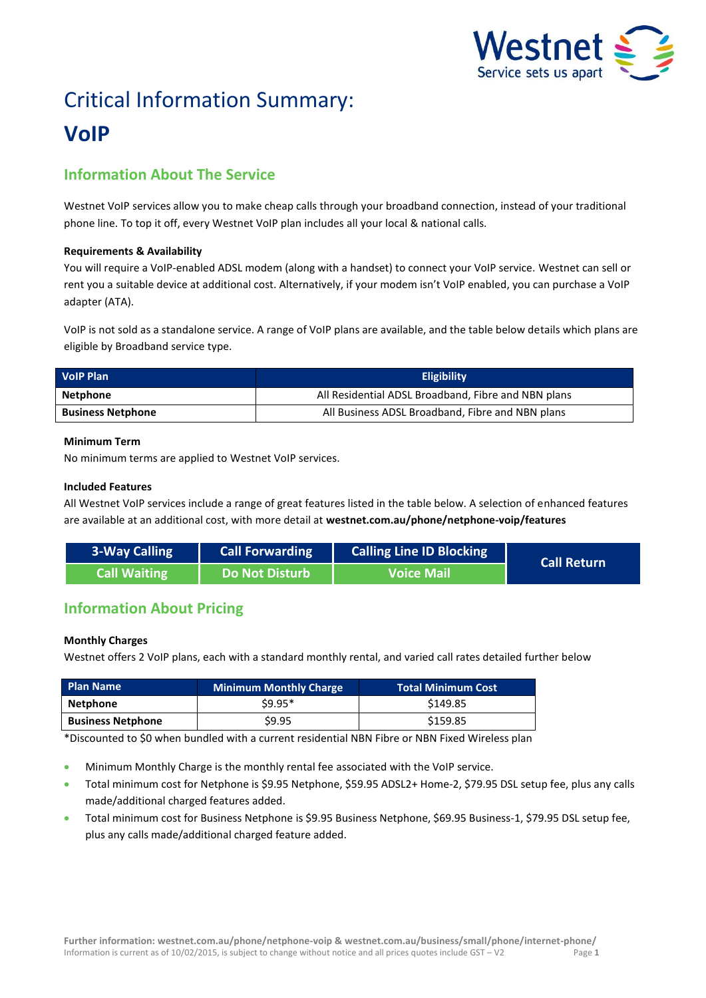

# Critical Information Summary: **VoIP**

# **Information About The Service**

Westnet VoIP services allow you to make cheap calls through your broadband connection, instead of your traditional phone line. To top it off, every Westnet VoIP plan includes all your local & national calls.

# **Requirements & Availability**

You will require a VoIP-enabled ADSL modem (along with a handset) to connect your VoIP service. Westnet can sell or rent you a suitable device at additional cost. Alternatively, if your modem isn't VoIP enabled, you can purchase a VoIP adapter (ATA).

VoIP is not sold as a standalone service. A range of VoIP plans are available, and the table below details which plans are eligible by Broadband service type.

| <b>VolP Plan</b>         | <b>Eligibility</b>                                  |  |  |
|--------------------------|-----------------------------------------------------|--|--|
| Netphone                 | All Residential ADSL Broadband, Fibre and NBN plans |  |  |
| <b>Business Netphone</b> | All Business ADSL Broadband, Fibre and NBN plans    |  |  |

# **Minimum Term**

No minimum terms are applied to Westnet VoIP services.

# **Included Features**

All Westnet VoIP services include a range of great features listed in the table below. A selection of enhanced features are available at an additional cost, with more detail at **[westnet.com.au/phone/netphone-voip/features](file://win2k.iinet.net.au/dfs/group/Customer%20Experience/WebDev/CORP%20TEAMS/Products/CIS%20Sheets/Word%20Templates/iiNet/www.westnet.com.au/phone/netphone-voip/features)**

| 3-Way Calling | <b>Call Forwarding</b> | <b>Calling Line ID Blocking</b> | <b>Call Return</b> |
|---------------|------------------------|---------------------------------|--------------------|
| Call Waiting  | Do Not Disturb         | <b>Voice Mail</b>               |                    |

# **Information About Pricing**

# **Monthly Charges**

Westnet offers 2 VoIP plans, each with a standard monthly rental, and varied call rates detailed further below

| <b>Plan Name</b>         | <b>Minimum Monthly Charge</b> | <b>Total Minimum Cost</b> |
|--------------------------|-------------------------------|---------------------------|
| Netphone                 | $$9.95*$                      | \$149.85                  |
| <b>Business Netphone</b> | \$9.95                        | \$159.85                  |

\*Discounted to \$0 when bundled with a current residential NBN Fibre or NBN Fixed Wireless plan

- Minimum Monthly Charge is the monthly rental fee associated with the VoIP service.
- Total minimum cost for Netphone is \$9.95 Netphone, \$59.95 ADSL2+ Home-2, \$79.95 DSL setup fee, plus any calls made/additional charged features added.
- Total minimum cost for Business Netphone is \$9.95 Business Netphone, \$69.95 Business-1, \$79.95 DSL setup fee, plus any calls made/additional charged feature added.